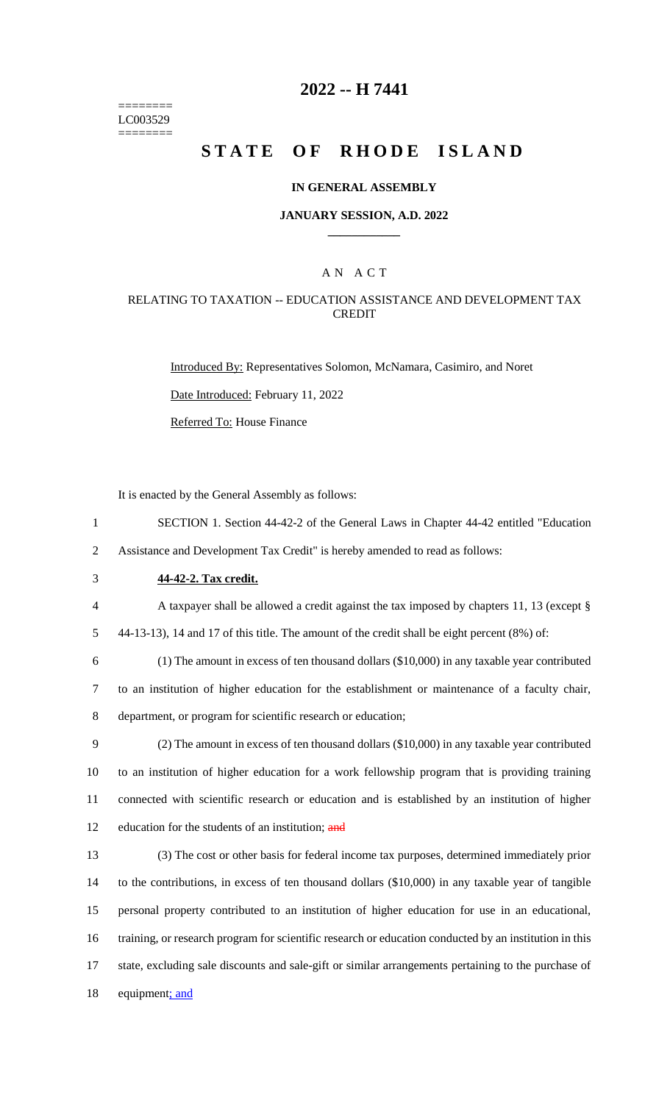======== LC003529 ========

### **2022 -- H 7441**

# **STATE OF RHODE ISLAND**

#### **IN GENERAL ASSEMBLY**

#### **JANUARY SESSION, A.D. 2022 \_\_\_\_\_\_\_\_\_\_\_\_**

### A N A C T

### RELATING TO TAXATION -- EDUCATION ASSISTANCE AND DEVELOPMENT TAX CREDIT

Introduced By: Representatives Solomon, McNamara, Casimiro, and Noret

Date Introduced: February 11, 2022

Referred To: House Finance

It is enacted by the General Assembly as follows:

- 1 SECTION 1. Section 44-42-2 of the General Laws in Chapter 44-42 entitled "Education 2 Assistance and Development Tax Credit" is hereby amended to read as follows:
- 3 **44-42-2. Tax credit.**
- 4 A taxpayer shall be allowed a credit against the tax imposed by chapters 11, 13 (except §

5 44-13-13), 14 and 17 of this title. The amount of the credit shall be eight percent (8%) of:

6 (1) The amount in excess of ten thousand dollars (\$10,000) in any taxable year contributed 7 to an institution of higher education for the establishment or maintenance of a faculty chair, 8 department, or program for scientific research or education;

 (2) The amount in excess of ten thousand dollars (\$10,000) in any taxable year contributed to an institution of higher education for a work fellowship program that is providing training connected with scientific research or education and is established by an institution of higher 12 education for the students of an institution; and

 (3) The cost or other basis for federal income tax purposes, determined immediately prior to the contributions, in excess of ten thousand dollars (\$10,000) in any taxable year of tangible personal property contributed to an institution of higher education for use in an educational, training, or research program for scientific research or education conducted by an institution in this state, excluding sale discounts and sale-gift or similar arrangements pertaining to the purchase of 18 equipment; and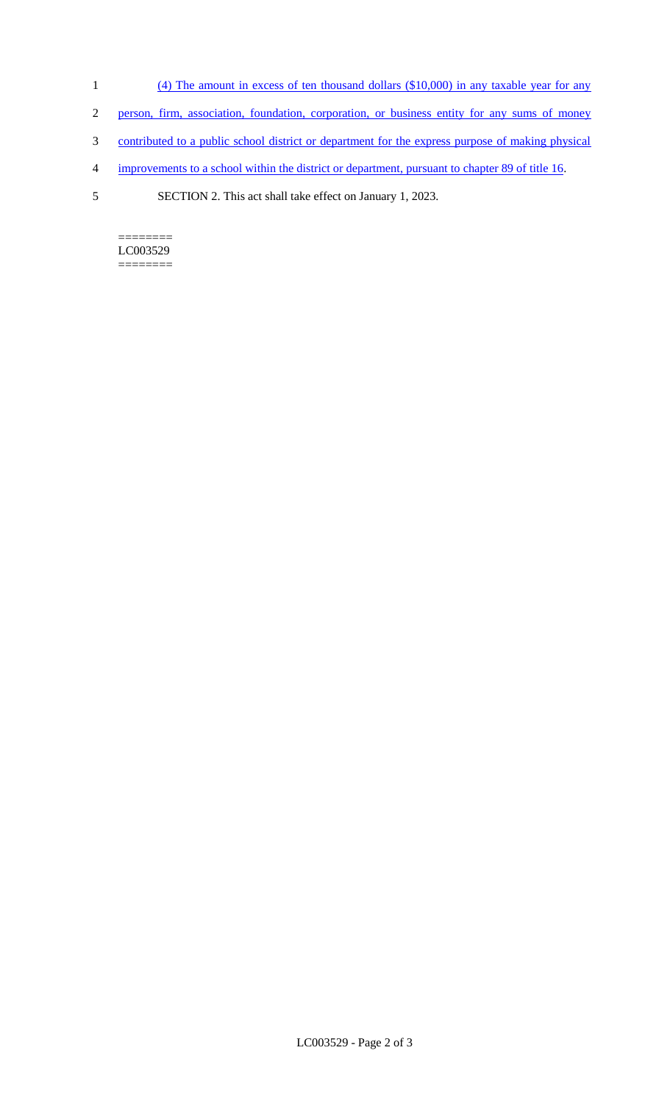- 1 (4) The amount in excess of ten thousand dollars (\$10,000) in any taxable year for any
- 2 person, firm, association, foundation, corporation, or business entity for any sums of money
- 3 contributed to a public school district or department for the express purpose of making physical
- 4 improvements to a school within the district or department, pursuant to chapter 89 of title 16.
- 5 SECTION 2. This act shall take effect on January 1, 2023.

======== LC003529 ========